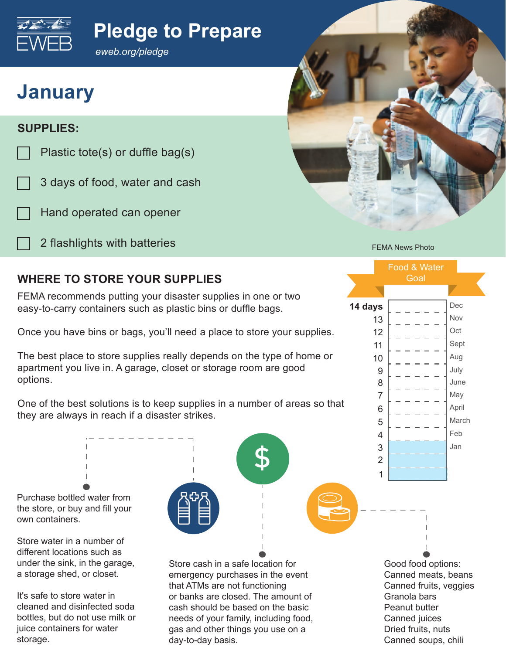

### **Pledge to Prepare**

*eweb.org/pledge*

# **January**

### **SUPPLIES:**

- Plastic tote(s) or duffle bag(s)
- 3 days of food, water and cash
- Hand operated can opener
	- 2 flashlights with batteries

bottles, but do not use milk or juice containers for water

storage.



FEMA News Photo

Food & Water **Goal** 

**14 days**

### **WHERE TO STORE YOUR SUPPLIES**

FEMA recommends putting your disaster supplies in one or two easy-to-carry containers such as plastic bins or duffle bags.

Once you have bins or bags, you'll need a place to store your supplies.

The best place to store supplies really depends on the type of home or apartment you live in. A garage, closet or storage room are good options.



day-to-day basis.

needs of your family, including food, gas and other things you use on a

Good food options: Canned meats, beans Canned fruits, veggies Granola bars Peanut butter Canned juices Dried fruits, nuts Canned soups, chili

Jan Feb March April May June July Aug Sept **Oct** Nov Dec